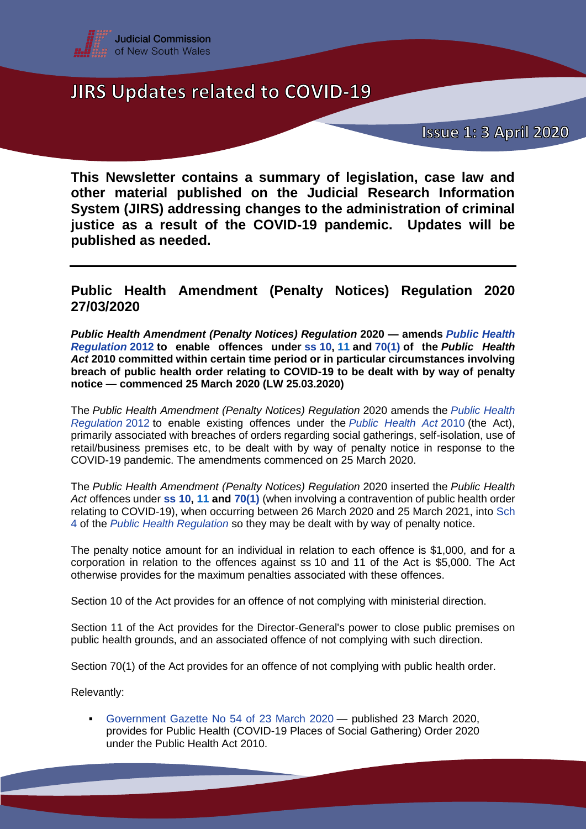

**Issue 1: 3 April 2020** 

**This Newsletter contains a summary of legislation, case law and other material published on the Judicial Research Information System (JIRS) addressing changes to the administration of criminal justice as a result of the COVID-19 pandemic. Updates will be published as needed.**

### **Public Health Amendment (Penalty Notices) Regulation 2020 27/03/2020**

*Public Health Amendment (Penalty Notices) Regulation* **2020 — amends** *[Public Health](https://www.legislation.nsw.gov.au/#/view/regulation/2012/311/full)  [Regulation](https://www.legislation.nsw.gov.au/#/view/regulation/2012/311/full)* **[2012](https://jirs.judcom.nsw.gov.au/php/legn_docs.php?path=archlaw/nswreg/2012-311/2020-03-25) to enable offences under ss [10,](hhttps://www.legislation.nsw.gov.au/#/view/act/2010/127/part2/sec10) [11](https://www.legislation.nsw.gov.au/#/view/act/2010/127/part2/sec11) and [70\(1\)](https://www.legislation.nsw.gov.au/#/view/act/2010/127/part4/div4/sec70) of the** *Public Health Act* **2010 committed within certain time period or in particular circumstances involving breach of public health order relating to COVID-19 to be dealt with by way of penalty notice — commenced 25 March 2020 (LW 25.03.2020)**

The *Public Health Amendment (Penalty Notices) Regulation* 2020 amends the *[Public Health](https://www.legislation.nsw.gov.au/#/view/regulation/2012/311/full)  [Regulation](https://www.legislation.nsw.gov.au/#/view/regulation/2012/311/full)* [2012](https://jirs.judcom.nsw.gov.au/php/legn_docs.php?path=archlaw/nswreg/2012-311/2020-03-25) to enable existing offences under the *[Public Health Act](hhttps://www.legislation.nsw.gov.au/#/view/act/2010/127/part4/div4/sec70)* [2010](https://jirs.judcom.nsw.gov.au/php/legn_docs.php?path=archlaw/nswact/2010-127/2020-03-20) (the Act), primarily associated with breaches of orders regarding social gatherings, self-isolation, use of retail/business premises etc, to be dealt with by way of penalty notice in response to the COVID-19 pandemic. The amendments commenced on 25 March 2020.

The *Public Health Amendment (Penalty Notices) Regulation* 2020 inserted the *Public Health Act* offences under **ss [10,](hhttps://www.legislation.nsw.gov.au/#/view/act/2010/127/part2/sec10) [11](https://www.legislation.nsw.gov.au/#/view/act/2010/127/part2/sec11) and [70\(1\)](https://www.legislation.nsw.gov.au/#/view/act/2010/127/part4/div4/sec70)** (when involving a contravention of public health order relating to COVID-19), when occurring between 26 March 2020 and 25 March 2021, into [Sch](hhttps://www.legislation.nsw.gov.au/#/view/regulation/2012/311/sch4)  [4](hhttps://www.legislation.nsw.gov.au/#/view/regulation/2012/311/sch4) of the *[Public Health Regulation](https://www.legislation.nsw.gov.au/#/view/regulation/2012/311)* so they may be dealt with by way of penalty notice.

The penalty notice amount for an individual in relation to each offence is \$1,000, and for a corporation in relation to the offences against ss 10 and 11 of the Act is \$5,000. The Act otherwise provides for the maximum penalties associated with these offences.

Section 10 of the Act provides for an offence of not complying with ministerial direction.

Section 11 of the Act provides for the Director-General's power to close public premises on public health grounds, and an associated offence of not complying with such direction.

Section 70(1) of the Act provides for an offence of not complying with public health order.

Relevantly:

 [Government Gazette No 54 of 23 March 2020](https://gazette.legislation.nsw.gov.au/so/download.w3p?id=Gazette_2020_2020-54.pdf) — published 23 March 2020, provides for Public Health (COVID-19 Places of Social Gathering) Order 2020 under the Public Health Act 2010.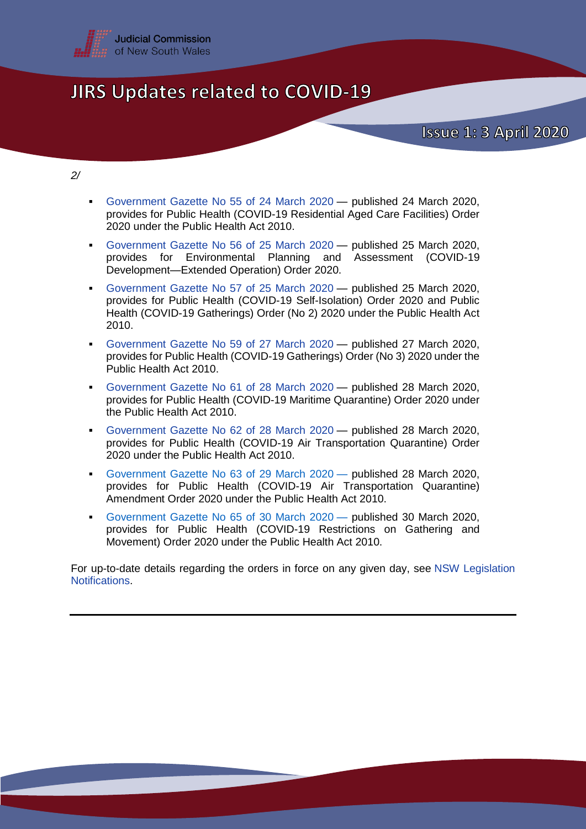

**Issue 1: 3 April 2020** 

*2/*

- [Government Gazette No 55 of 24 March 2020](https://gazette.legislation.nsw.gov.au/so/download.w3p?id=Gazette_2020_2020-55.pdf) published 24 March 2020, provides for Public Health (COVID-19 Residential Aged Care Facilities) Order 2020 under the Public Health Act 2010.
- [Government Gazette No 56 of 25 March 2020](https://gazette.legislation.nsw.gov.au/so/download.w3p?id=Gazette_2020_2020-56.pdf) published 25 March 2020, provides for Environmental Planning and Assessment (COVID-19 Development—Extended Operation) Order 2020.
- [Government Gazette No 57 of 25 March 2020](https://gazette.legislation.nsw.gov.au/so/download.w3p?id=Gazette_2020_2020-57.pdf) published 25 March 2020, provides for Public Health (COVID-19 Self-Isolation) Order 2020 and Public Health (COVID-19 Gatherings) Order (No 2) 2020 under the Public Health Act 2010.
- [Government Gazette No 59 of 27 March 2020](https://gazette.legislation.nsw.gov.au/so/download.w3p?id=Gazette_2020_2020-59.pdf) published 27 March 2020, provides for Public Health (COVID-19 Gatherings) Order (No 3) 2020 under the Public Health Act 2010.
- [Government Gazette No 61](https://gazette.legislation.nsw.gov.au/so/download.w3p?id=Gazette_2020_2020-61.pdf) of 28 March 2020 published 28 March 2020, provides for Public Health (COVID-19 Maritime Quarantine) Order 2020 under the Public Health Act 2010.
- [Government Gazette No 62](https://gazette.legislation.nsw.gov.au/so/download.w3p?id=Gazette_2020_2020-62.pdf) of 28 March 2020 published 28 March 2020, provides for Public Health (COVID-19 Air Transportation Quarantine) Order 2020 under the Public Health Act 2010.
- [Government Gazette No 63](https://gazette.legislation.nsw.gov.au/so/download.w3p?id=Gazette_2020_2020-63.pdf) of 29 March 2020 published 28 March 2020, provides for Public Health (COVID-19 Air Transportation Quarantine) Amendment Order 2020 under the Public Health Act 2010.
- [Government Gazette No 65 of 30](https://gazette.legislation.nsw.gov.au/so/download.w3p?id=Gazette_2020_2020-65.pdf) March 2020 published 30 March 2020, provides for Public Health (COVID-19 Restrictions on Gathering and Movement) Order 2020 under the Public Health Act 2010.

For up-to-date details regarding the orders in force on any given day, see [NSW Legislation](https://www.legislation.nsw.gov.au/#/notifications)  [Notifications.](https://www.legislation.nsw.gov.au/#/notifications)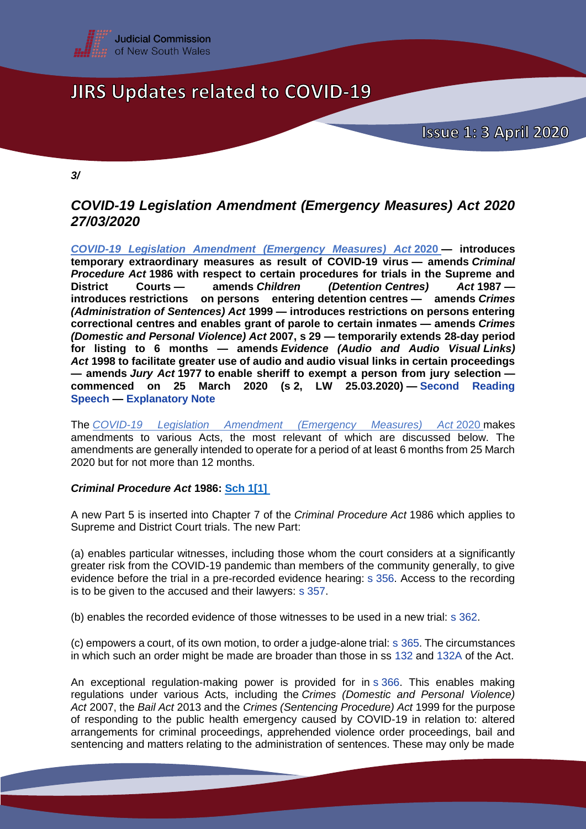

**Issue 1: 3 April 2020** 

*3/*

### *COVID-19 Legislation Amendment (Emergency Measures) Act 2020 27/03/2020*

*[COVID-19 Legislation Amendment \(Emergency Measures\) Act](https://www.legislation.nsw.gov.au/#/view/act/2020/1)* **2020 — introduces temporary extraordinary measures as result of COVID-19 virus — amends** *Criminal Procedure Act* **1986 with respect to certain procedures for trials in the Supreme and District Courts — amends** *Children (Detention Centres) Act* **1987 introduces restrictions on persons entering detention centres — amends** *Crimes (Administration of Sentences) Act* **1999 — introduces restrictions on persons entering correctional centres and enables grant of parole to certain inmates — amends** *Crimes (Domestic and Personal Violence) Act* **2007, s 29 — temporarily extends 28-day period for listing to 6 months — amends** *Evidence (Audio and Audio Visual Links) Act* **1998 to facilitate greater use of audio and audio visual links in certain proceedings — amends** *Jury Act* **1977 to enable sheriff to exempt a person from jury selection commenced on 25 March 2020 (s 2, LW 25.03.2020) — [Second Reading](https://www.parliament.nsw.gov.au/Hansard/Pages/HansardResult.aspx#/docid/)  [Speech](https://www.parliament.nsw.gov.au/Hansard/Pages/HansardResult.aspx#/docid/) — [Explanatory Note](https://www.parliament.nsw.gov.au/bill/files/3741/XN%20COVID-19%20Legislation%20Amendment%20(Emergency%20Measures)%20Bill.pdf)**

The *[COVID-19 Legislation Amendment \(Emergency Measures\) Act](https://www.legislation.nsw.gov.au/#/view/act/2020/1)* 2020 makes amendments to various Acts, the most relevant of which are discussed below. The amendments are generally intended to operate for a period of at least 6 months from 25 March 2020 but for not more than 12 months.

#### *Criminal Procedure Act* **1986: [Sch 1\[1\]](https://www.legislation.nsw.gov.au/#/view/act/2020/1/sch1)**

A new Part 5 is inserted into Chapter 7 of the *Criminal Procedure Act* 1986 which applies to Supreme and District Court trials. The new Part:

(a) enables particular witnesses, including those whom the court considers at a significantly greater risk from the COVID-19 pandemic than members of the community generally, to give evidence before the trial in a pre-recorded evidence hearing: s [356.](https://www.legislation.nsw.gov.au/#/view/act/1986/209/chap7/part5/div2/sec356) Access to the recording is to be given to the accused and their lawyers: s [357.](https://www.legislation.nsw.gov.au/#/view/act/1986/209/chap7/part5/div2/sec357)

(b) enables the recorded evidence of those witnesses to be used in a new trial: s [362.](https://www.legislation.nsw.gov.au/#/view/act/1986/209/chap7/part5/div2/sec362)

(c) empowers a court, of its own motion, to order a judge-alone trial: s [365.](https://www.legislation.nsw.gov.au/#/view/act/1986/209/chap7/part5/div2/sec365) The circumstances in which such an order might be made are broader than those in ss [132](https://www.legislation.nsw.gov.au/#/view/act/1986/209/chap3/part3/div2/sec132) and [132A](https://www.legislation.nsw.gov.au/#/view/act/1986/209/chap3/part3/div2/sec132a) of the Act.

An exceptional regulation-making power is provided for in s [366.](https://www.legislation.nsw.gov.au/#/view/act/1986/209/chap7/part5/div2/sec366) This enables making regulations under various Acts, including the *Crimes (Domestic and Personal Violence) Act* 2007, the *Bail Act* 2013 and the *Crimes (Sentencing Procedure) Act* 1999 for the purpose of responding to the public health emergency caused by COVID-19 in relation to: altered arrangements for criminal proceedings, apprehended violence order proceedings, bail and sentencing and matters relating to the administration of sentences. These may only be made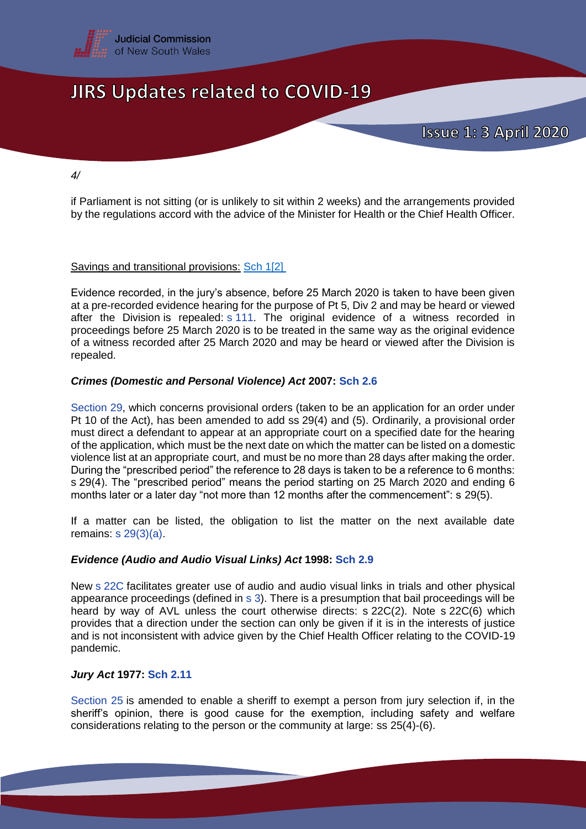

*4/*

if Parliament is not sitting (or is unlikely to sit within 2 weeks) and the arrangements provided by the regulations accord with the advice of the Minister for Health or the Chief Health Officer.

#### Savings and transitional provisions: [Sch 1\[2\]](hhttps://www.legislation.nsw.gov.au/#/view/act/2020/1/sch1)

Evidence recorded, in the jury's absence, before 25 March 2020 is taken to have been given at a pre-recorded evidence hearing for the purpose of Pt 5, Div 2 and may be heard or viewed after the Division is repealed:  $s$  [111.](hhttps://www.legislation.nsw.gov.au/#/view/act/1986/209/chap3/part2/div10/sec111) The original evidence of a witness recorded in proceedings before 25 March 2020 is to be treated in the same way as the original evidence of a witness recorded after 25 March 2020 and may be heard or viewed after the Division is repealed.

#### *Crimes (Domestic and Personal Violence) Act* **2007: [Sch 2.6](https://www.legislation.nsw.gov.au/#/view/act/2020/1/sch2)**

[Section 29,](https://www.legislation.nsw.gov.au/#/view/act/2007/80/part7/sec29) which concerns provisional orders (taken to be an application for an order under Pt 10 of the Act), has been amended to add ss 29(4) and (5). Ordinarily, a provisional order must direct a defendant to appear at an appropriate court on a specified date for the hearing of the application, which must be the next date on which the matter can be listed on a domestic violence list at an appropriate court, and must be no more than 28 days after making the order. During the "prescribed period" the reference to 28 days is taken to be a reference to 6 months: s 29(4). The "prescribed period" means the period starting on 25 March 2020 and ending 6 months later or a later day "not more than 12 months after the commencement": s 29(5).

If a matter can be listed, the obligation to list the matter on the next available date remains: s [29\(3\)\(a\).](https://www.legislation.nsw.gov.au/#/view/act/2007/80/part7/sec29)

#### *Evidence (Audio and Audio Visual Links) Act* **1998: [Sch 2.9](hhttps://www.legislation.nsw.gov.au/#/view/act/2020/1/sch2)**

New s [22C](https://www.legislation.nsw.gov.au/#/view/act/1998/105/part4/sec22c) facilitates greater use of audio and audio visual links in trials and other physical appearance proceedings (defined in s [3\)](https://www.legislation.nsw.gov.au/#/view/act/1998/105/part1/sec3). There is a presumption that bail proceedings will be heard by way of AVL unless the court otherwise directs: s 22C(2). Note s 22C(6) which provides that a direction under the section can only be given if it is in the interests of justice and is not inconsistent with advice given by the Chief Health Officer relating to the COVID-19 pandemic.

#### *Jury Act* **1977: [Sch 2.11](https://www.legislation.nsw.gov.au/#/view/act/2020/1/sch2)**

[Section 25](https://www.legislation.nsw.gov.au/#/view/act/1977/18/part5/div1/sec25) is amended to enable a sheriff to exempt a person from jury selection if, in the sheriff's opinion, there is good cause for the exemption, including safety and welfare considerations relating to the person or the community at large: ss 25(4)-(6).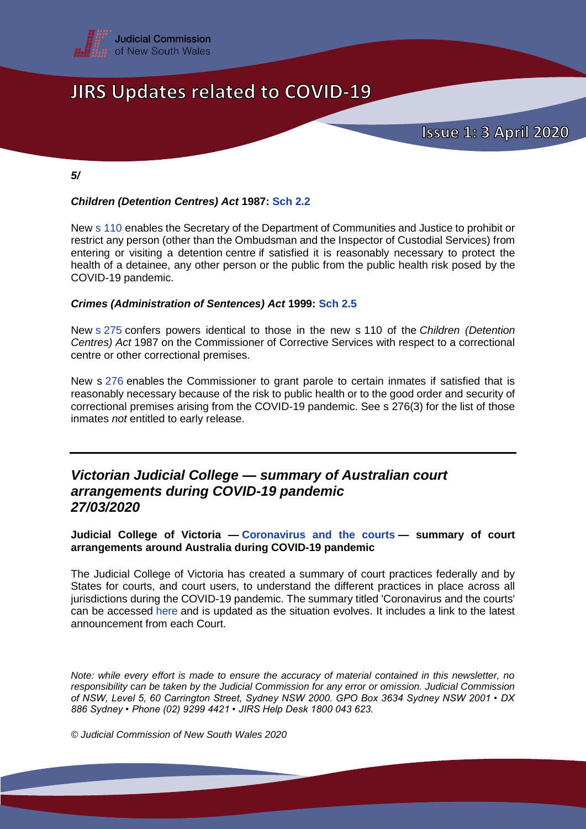

*5/* 

#### *Children (Detention Centres) Act* **1987: [Sch 2.2](https://www.legislation.nsw.gov.au/#/view/act/2020/1/sch2)**

New s [110](https://legislation.nsw.gov.au/#/view/act/1987/57/part5/sec110) enables the Secretary of the Department of Communities and Justice to prohibit or restrict any person (other than the Ombudsman and the Inspector of Custodial Services) from entering or visiting a detention centre if satisfied it is reasonably necessary to protect the health of a detainee, any other person or the public from the public health risk posed by the COVID-19 pandemic.

#### *Crimes (Administration of Sentences) Act* **1999: [Sch 2.5](https://www.legislation.nsw.gov.au/#/view/act/2020/1/sch2)**

New s [275](https://www.legislation.nsw.gov.au/#/view/act/1999/93/part15/sec275) confers powers identical to those in the new s 110 of the *Children (Detention Centres) Act* 1987 on the Commissioner of Corrective Services with respect to a correctional centre or other correctional premises.

New s [276](https://www.legislation.nsw.gov.au/#/view/act/1999/93/part15/sec276) enables the Commissioner to grant parole to certain inmates if satisfied that is reasonably necessary because of the risk to public health or to the good order and security of correctional premises arising from the COVID-19 pandemic. See s 276(3) for the list of those inmates *not* entitled to early release.

### *Victorian Judicial College — summary of Australian court arrangements during COVID-19 pandemic 27/03/2020*

**Judicial College of Victoria — [Coronavirus and the courts](https://www.judicialcollege.vic.edu.au/news/coronavirus-and-courts) — summary of court arrangements around Australia during COVID-19 pandemic**

The Judicial College of Victoria has created a summary of court practices federally and by States for courts, and court users, to understand the different practices in place across all jurisdictions during the COVID-19 pandemic. The summary titled 'Coronavirus and the courts' can be accessed [here](https://www.judicialcollege.vic.edu.au/news/coronavirus-and-courts) and is updated as the situation evolves. It includes a link to the latest announcement from each Court.

*Note: while every effort is made to ensure the accuracy of material contained in this newsletter, no responsibility can be taken by the Judicial Commission for any error or omission. Judicial Commission of NSW, Level 5, 60 Carrington Street, Sydney NSW 2000. GPO Box 3634 Sydney NSW 2001 • DX 886 Sydney • Phone (02) 9299 4421 • JIRS Help Desk 1800 043 623.*

*© Judicial Commission of New South Wales 2020*